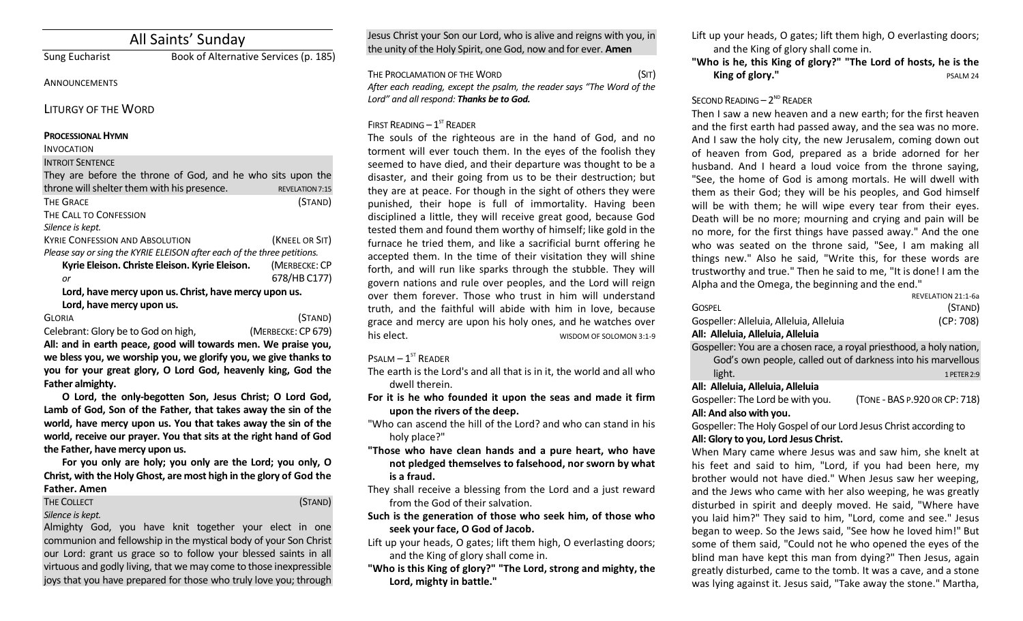# All Saints' Sunday

Sung Eucharist Book of Alternative Services (p. 185)

#### **ANNOUNCEMENTS**

LITURGY OF THE WORD

#### **PROCESSIONAL HYMN**

#### INVOCATION

INTROIT SENTENCE

| They are before the throne of God, and he who sits upon the             |                        |  |
|-------------------------------------------------------------------------|------------------------|--|
| throne will shelter them with his presence.                             | <b>REVELATION 7:15</b> |  |
| <b>THE GRACE</b>                                                        | (STAND)                |  |
| THE CALL TO CONFESSION                                                  |                        |  |
| Silence is kept.                                                        |                        |  |
| <b>KYRIE CONFESSION AND ABSOLUTION</b>                                  | (KNEEL OR SIT)         |  |
| Please say or sing the KYRIE ELEISON after each of the three petitions. |                        |  |
| Kyrie Eleison. Christe Eleison. Kyrie Eleison.                          | (MERBECKE: CP          |  |
| or                                                                      | 678/HB C177)           |  |
| Lord, have mercy upon us. Christ, have mercy upon us.                   |                        |  |
| Lord, have mercy upon us.                                               |                        |  |
| <b>GLORIA</b>                                                           | (Stand)                |  |

Celebrant: Glory be to God on high, (MERBECKE: CP 679)

**All: and in earth peace, good will towards men. We praise you, we bless you, we worship you, we glorify you, we give thanks to you for your great glory, O Lord God, heavenly king, God the Father almighty.**

**O Lord, the only-begotten Son, Jesus Christ; O Lord God, Lamb of God, Son of the Father, that takes away the sin of the world, have mercy upon us. You that takes away the sin of the world, receive our prayer. You that sits at the right hand of God the Father, have mercy upon us.**

**For you only are holy; you only are the Lord; you only, O Christ, with the Holy Ghost, are most high in the glory of God the Father. Amen**

THE COLLECT **THE COLLECT COLLECT COLLECT COLLECT COLLECT COLLECT COLLECT COLLECT COLLECT COLLECT** 

*Silence is kept.*

Almighty God, you have knit together your elect in one communion and fellowship in the mystical body of your Son Christ our Lord: grant us grace so to follow your blessed saints in all virtuous and godly living, that we may come to those inexpressible joys that you have prepared for those who truly love you; through Jesus Christ your Son our Lord, who is alive and reigns with you, in the unity of the Holy Spirit, one God, now and for ever. **Amen**

THE PROCLAMATION OF THE WORD (SIT) *After each reading, except the psalm, the reader says "The Word of the Lord" and all respond: Thanks be to God.* 

# FIRST READING  $-1<sup>ST</sup>$  READER

The souls of the righteous are in the hand of God, and no torment will ever touch them. In the eyes of the foolish they seemed to have died, and their departure was thought to be a disaster, and their going from us to be their destruction; but they are at peace. For though in the sight of others they were punished, their hope is full of immortality. Having been disciplined a little, they will receive great good, because God tested them and found them worthy of himself; like gold in the furnace he tried them, and like a sacrificial burnt offering he accepted them. In the time of their visitation they will shine forth, and will run like sparks through the stubble. They will govern nations and rule over peoples, and the Lord will reign over them forever. Those who trust in him will understand truth, and the faithful will abide with him in love, because grace and mercy are upon his holy ones, and he watches over his elect.

 $P$ SALM –  $1^{ST}$  READER

The earth is the Lord's and all that is in it, the world and all who dwell therein.

**For it is he who founded it upon the seas and made it firm upon the rivers of the deep.**

"Who can ascend the hill of the Lord? and who can stand in his holy place?"

**"Those who have clean hands and a pure heart, who have not pledged themselves to falsehood, nor sworn by what is a fraud.**

They shall receive a blessing from the Lord and a just reward from the God of their salvation.

**Such is the generation of those who seek him, of those who seek your face, O God of Jacob.**

- Lift up your heads, O gates; lift them high, O everlasting doors; and the King of glory shall come in.
- **"Who is this King of glory?" "The Lord, strong and mighty, the Lord, mighty in battle."**
- Lift up your heads, O gates; lift them high, O everlasting doors; and the King of glory shall come in.
- **"Who is he, this King of glory?" "The Lord of hosts, he is the King of glory."** PSALM 24

# SECOND READING  $-2^{ND}$  READER

Then I saw a new heaven and a new earth; for the first heaven and the first earth had passed away, and the sea was no more. And I saw the holy city, the new Jerusalem, coming down out of heaven from God, prepared as a bride adorned for her husband. And I heard a loud voice from the throne saying, "See, the home of God is among mortals. He will dwell with them as their God; they will be his peoples, and God himself will be with them; he will wipe every tear from their eyes. Death will be no more; mourning and crying and pain will be no more, for the first things have passed away." And the one who was seated on the throne said, "See, I am making all things new." Also he said, "Write this, for these words are trustworthy and true." Then he said to me, "It is done! I am the Alpha and the Omega, the beginning and the end."

|                                         | REVELATION 21:1-63 |
|-----------------------------------------|--------------------|
| <b>GOSPEL</b>                           | (STAND)            |
| Gospeller: Alleluia, Alleluia, Alleluia | (CP: 708)          |
| All: Alleluia, Alleluia, Alleluia       |                    |

 $R$ 

### **All: Alleluia, Alleluia, Alleluia**

Gospeller: You are a chosen race, a royal priesthood, a holy nation, God's own people, called out of darkness into his marvellous light. **1 PETER2:9** 

**All: Alleluia, Alleluia, Alleluia**

Gospeller: The Lord be with you. (TONE - BAS P.920 OR CP: 718)

### **All: And also with you.**

Gospeller: The Holy Gospel of our Lord Jesus Christ according to **All: Glory to you, Lord Jesus Christ.**

When Mary came where Jesus was and saw him, she knelt at his feet and said to him, "Lord, if you had been here, my brother would not have died." When Jesus saw her weeping, and the Jews who came with her also weeping, he was greatly disturbed in spirit and deeply moved. He said, "Where have you laid him?" They said to him, "Lord, come and see." Jesus began to weep. So the Jews said, "See how he loved him!" But some of them said, "Could not he who opened the eyes of the blind man have kept this man from dying?" Then Jesus, again greatly disturbed, came to the tomb. It was a cave, and a stone was lying against it. Jesus said, "Take away the stone." Martha,